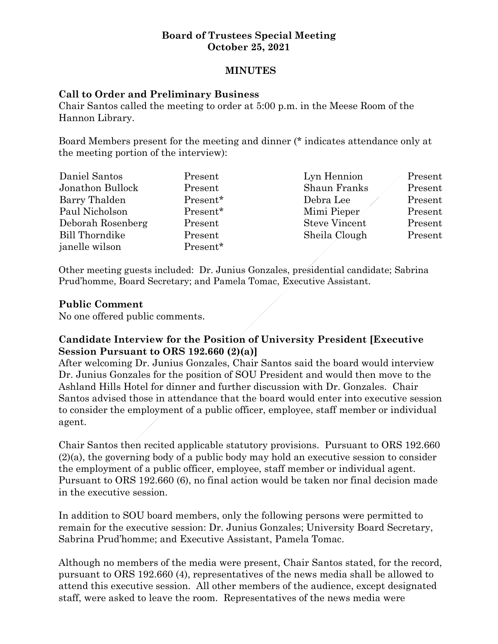### **Board of Trustees Special Meeting October 25, 2021**

# **MINUTES**

### **Call to Order and Preliminary Business**

Chair Santos called the meeting to order at 5:00 p.m. in the Meese Room of the Hannon Library.

Board Members present for the meeting and dinner (\* indicates attendance only at the meeting portion of the interview):

| Daniel Santos     | Present  | Lyn Hennion          | Present |
|-------------------|----------|----------------------|---------|
| Jonathon Bullock  | Present  | <b>Shaun Franks</b>  | Present |
| Barry Thalden     | Present* | Debra Lee            | Present |
| Paul Nicholson    | Present* | Mimi Pieper          | Present |
| Deborah Rosenberg | Present  | <b>Steve Vincent</b> | Present |
| Bill Thorndike    | Present  | Sheila Clough        | Present |
| janelle wilson    | Present* |                      |         |

Other meeting guests included: Dr. Junius Gonzales, presidential candidate; Sabrina Prud'homme, Board Secretary; and Pamela Tomac, Executive Assistant.

#### **Public Comment**

No one offered public comments.

# **Candidate Interview for the Position of University President [Executive Session Pursuant to ORS 192.660 (2)(a)]**

After welcoming Dr. Junius Gonzales, Chair Santos said the board would interview Dr. Junius Gonzales for the position of SOU President and would then move to the Ashland Hills Hotel for dinner and further discussion with Dr. Gonzales. Chair Santos advised those in attendance that the board would enter into executive session to consider the employment of a public officer, employee, staff member or individual agent.

Chair Santos then recited applicable statutory provisions. Pursuant to ORS 192.660 (2)(a), the governing body of a public body may hold an executive session to consider the employment of a public officer, employee, staff member or individual agent. Pursuant to ORS 192.660 (6), no final action would be taken nor final decision made in the executive session.

In addition to SOU board members, only the following persons were permitted to remain for the executive session: Dr. Junius Gonzales; University Board Secretary, Sabrina Prud'homme; and Executive Assistant, Pamela Tomac.

Although no members of the media were present, Chair Santos stated, for the record, pursuant to ORS 192.660 (4), representatives of the news media shall be allowed to attend this executive session. All other members of the audience, except designated staff, were asked to leave the room. Representatives of the news media were